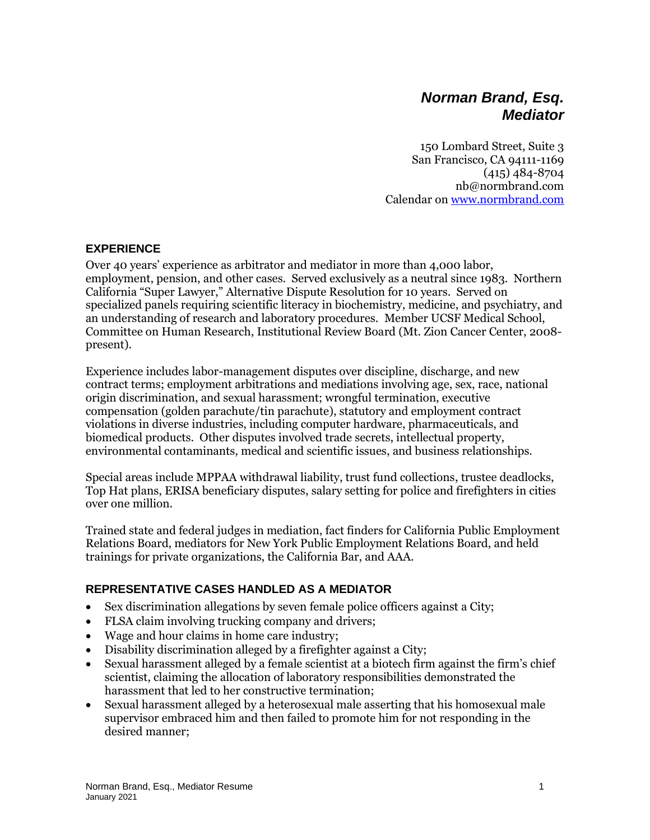# *Norman Brand, Esq. Mediator*

150 Lombard Street, Suite 3 San Francisco, CA 94111-1169 (415) 484-8704 nb@normbrand.com Calendar on [www.normbrand.com](http://www.normbrand.com/)

#### **EXPERIENCE**

Over 40 years' experience as arbitrator and mediator in more than 4,000 labor, employment, pension, and other cases. Served exclusively as a neutral since 1983. Northern California "Super Lawyer," Alternative Dispute Resolution for 10 years. Served on specialized panels requiring scientific literacy in biochemistry, medicine, and psychiatry, and an understanding of research and laboratory procedures. Member UCSF Medical School, Committee on Human Research, Institutional Review Board (Mt. Zion Cancer Center, 2008 present).

Experience includes labor-management disputes over discipline, discharge, and new contract terms; employment arbitrations and mediations involving age, sex, race, national origin discrimination, and sexual harassment; wrongful termination, executive compensation (golden parachute/tin parachute), statutory and employment contract violations in diverse industries, including computer hardware, pharmaceuticals, and biomedical products. Other disputes involved trade secrets, intellectual property, environmental contaminants, medical and scientific issues, and business relationships.

Special areas include MPPAA withdrawal liability, trust fund collections, trustee deadlocks, Top Hat plans, ERISA beneficiary disputes, salary setting for police and firefighters in cities over one million.

Trained state and federal judges in mediation, fact finders for California Public Employment Relations Board, mediators for New York Public Employment Relations Board, and held trainings for private organizations, the California Bar, and AAA.

#### **REPRESENTATIVE CASES HANDLED AS A MEDIATOR**

- Sex discrimination allegations by seven female police officers against a City;
- FLSA claim involving trucking company and drivers;
- Wage and hour claims in home care industry;
- Disability discrimination alleged by a firefighter against a City;
- Sexual harassment alleged by a female scientist at a biotech firm against the firm's chief scientist, claiming the allocation of laboratory responsibilities demonstrated the harassment that led to her constructive termination;
- Sexual harassment alleged by a heterosexual male asserting that his homosexual male supervisor embraced him and then failed to promote him for not responding in the desired manner;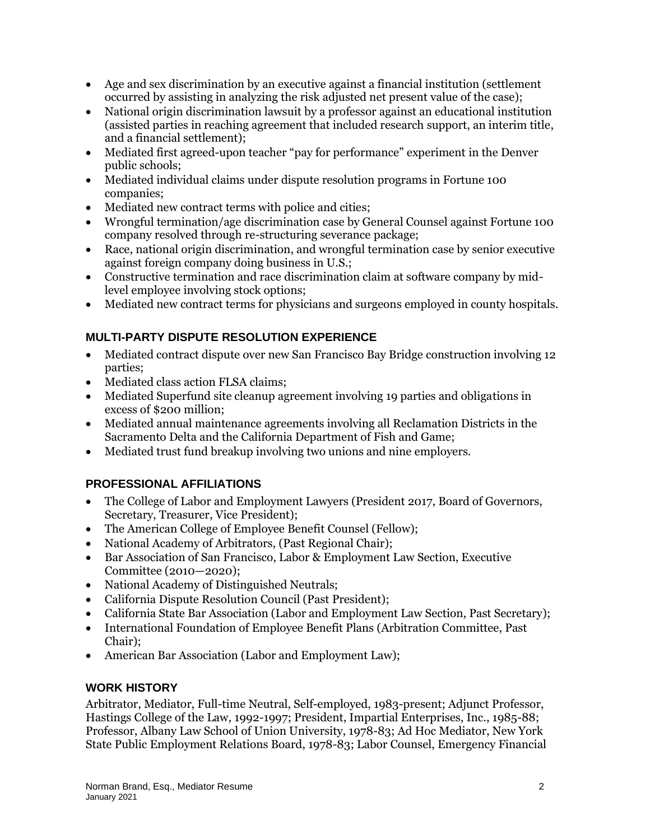- Age and sex discrimination by an executive against a financial institution (settlement occurred by assisting in analyzing the risk adjusted net present value of the case);
- National origin discrimination lawsuit by a professor against an educational institution (assisted parties in reaching agreement that included research support, an interim title, and a financial settlement);
- Mediated first agreed-upon teacher "pay for performance" experiment in the Denver public schools;
- Mediated individual claims under dispute resolution programs in Fortune 100 companies;
- Mediated new contract terms with police and cities;
- Wrongful termination/age discrimination case by General Counsel against Fortune 100 company resolved through re-structuring severance package;
- Race, national origin discrimination, and wrongful termination case by senior executive against foreign company doing business in U.S.;
- Constructive termination and race discrimination claim at software company by midlevel employee involving stock options;
- Mediated new contract terms for physicians and surgeons employed in county hospitals.

# **MULTI-PARTY DISPUTE RESOLUTION EXPERIENCE**

- Mediated contract dispute over new San Francisco Bay Bridge construction involving 12 parties;
- Mediated class action FLSA claims;
- Mediated Superfund site cleanup agreement involving 19 parties and obligations in excess of \$200 million;
- Mediated annual maintenance agreements involving all Reclamation Districts in the Sacramento Delta and the California Department of Fish and Game;
- Mediated trust fund breakup involving two unions and nine employers.

# **PROFESSIONAL AFFILIATIONS**

- The College of Labor and Employment Lawyers (President 2017, Board of Governors, Secretary, Treasurer, Vice President);
- The American College of Employee Benefit Counsel (Fellow);
- National Academy of Arbitrators, (Past Regional Chair);
- Bar Association of San Francisco, Labor & Employment Law Section, Executive Committee (2010—2020);
- National Academy of Distinguished Neutrals;
- California Dispute Resolution Council (Past President);
- California State Bar Association (Labor and Employment Law Section, Past Secretary);
- International Foundation of Employee Benefit Plans (Arbitration Committee, Past Chair);
- American Bar Association (Labor and Employment Law);

# **WORK HISTORY**

Arbitrator, Mediator, Full-time Neutral, Self-employed, 1983-present; Adjunct Professor, Hastings College of the Law, 1992-1997; President, Impartial Enterprises, Inc., 1985-88; Professor, Albany Law School of Union University, 1978-83; Ad Hoc Mediator, New York State Public Employment Relations Board, 1978-83; Labor Counsel, Emergency Financial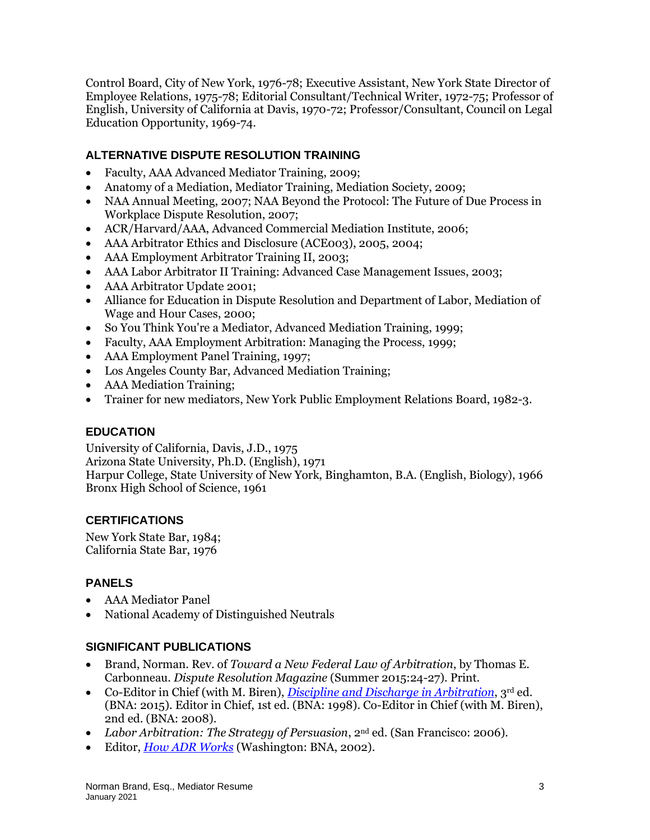Control Board, City of New York, 1976-78; Executive Assistant, New York State Director of Employee Relations, 1975-78; Editorial Consultant/Technical Writer, 1972-75; Professor of English, University of California at Davis, 1970-72; Professor/Consultant, Council on Legal Education Opportunity, 1969-74.

#### **ALTERNATIVE DISPUTE RESOLUTION TRAINING**

- Faculty, AAA Advanced Mediator Training, 2009;
- Anatomy of a Mediation, Mediator Training, Mediation Society, 2009;
- NAA Annual Meeting, 2007; NAA Beyond the Protocol: The Future of Due Process in Workplace Dispute Resolution, 2007;
- ACR/Harvard/AAA, Advanced Commercial Mediation Institute, 2006;
- AAA Arbitrator Ethics and Disclosure (ACE003), 2005, 2004;
- AAA Employment Arbitrator Training II, 2003;
- AAA Labor Arbitrator II Training: Advanced Case Management Issues, 2003;
- AAA Arbitrator Update 2001;
- Alliance for Education in Dispute Resolution and Department of Labor, Mediation of Wage and Hour Cases, 2000;
- So You Think You're a Mediator, Advanced Mediation Training, 1999;
- Faculty, AAA Employment Arbitration: Managing the Process, 1999;
- AAA Employment Panel Training, 1997;
- Los Angeles County Bar, Advanced Mediation Training;
- AAA Mediation Training;
- Trainer for new mediators, New York Public Employment Relations Board, 1982-3.

# **EDUCATION**

University of California, Davis, J.D., 1975 Arizona State University, Ph.D. (English), 1971 Harpur College, State University of New York, Binghamton, B.A. (English, Biology), 1966 Bronx High School of Science, 1961

# **CERTIFICATIONS**

New York State Bar, 1984; California State Bar, 1976

#### **PANELS**

- AAA Mediator Panel
- National Academy of Distinguished Neutrals

# **SIGNIFICANT PUBLICATIONS**

- Brand, Norman. Rev. of *Toward a New Federal Law of Arbitration*, by Thomas E. Carbonneau. *Dispute Resolution Magazine* (Summer 2015:24-27). Print.
- Co-Editor in Chief (with M. Biren), *[Discipline and Discharge in Arbitration](http://storefront.bnabooks.com/cgi-bin/bnabooks.storefront/en/product/9232)*, 3rd ed. (BNA: 2015). Editor in Chief, 1st ed. (BNA: 1998). Co-Editor in Chief (with M. Biren), 2nd ed. (BNA: 2008).
- *Labor Arbitration: The Strategy of Persuasion*, 2nd ed. (San Francisco: 2006).
- Editor, *[How ADR Works](http://storefront.bnabooks.com/cgi-bin/bnabooks.storefront/en/product/1253)* (Washington: BNA, 2002).